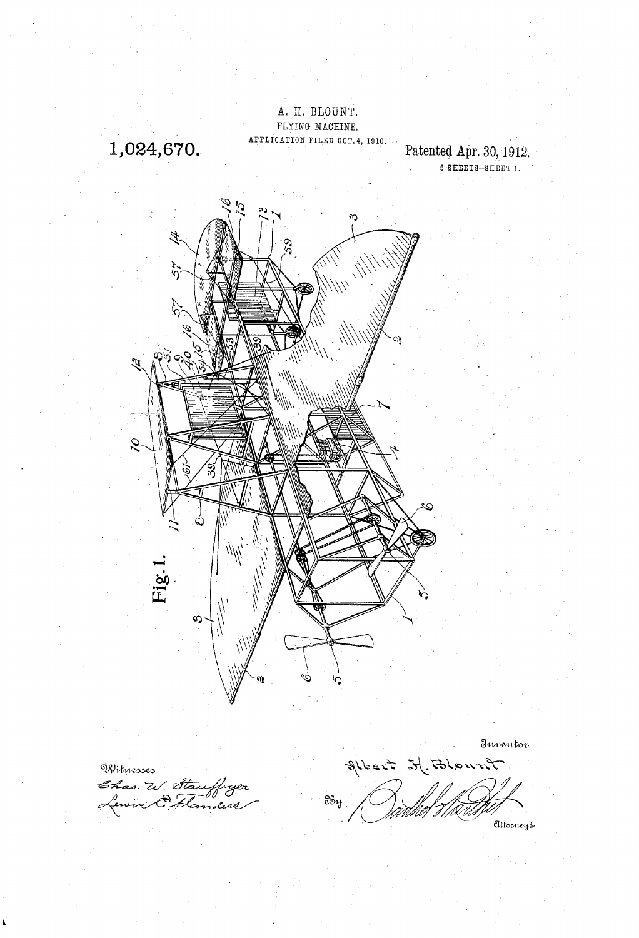

Witnesses W. Sta

Inventor Albert H. Blownt

 $\mathfrak{F}_{\sigma\mathfrak{t}}$ 

Attorneys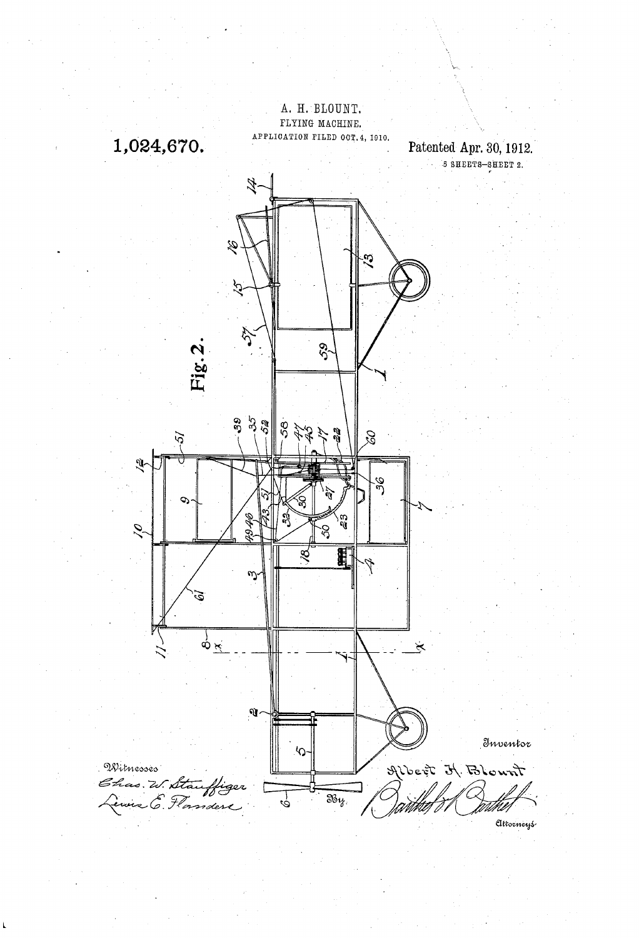

 $\mathbf{t}$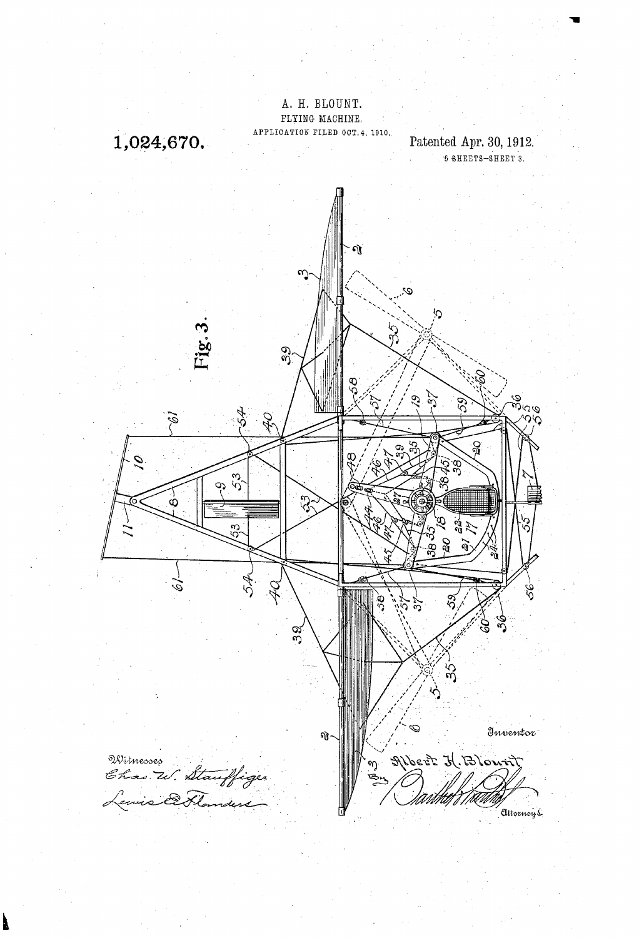

À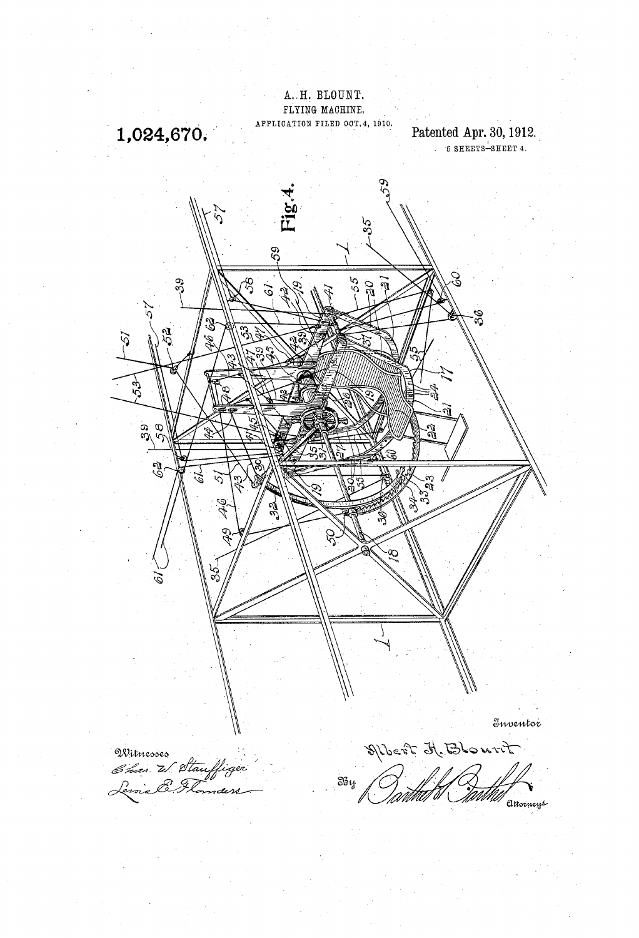A. H. BLOUNT. FLYING MACHINE. APPLICATION FILED OCT. 4, 1910.

1,024,670.

Patented Apr. 30, 1912.

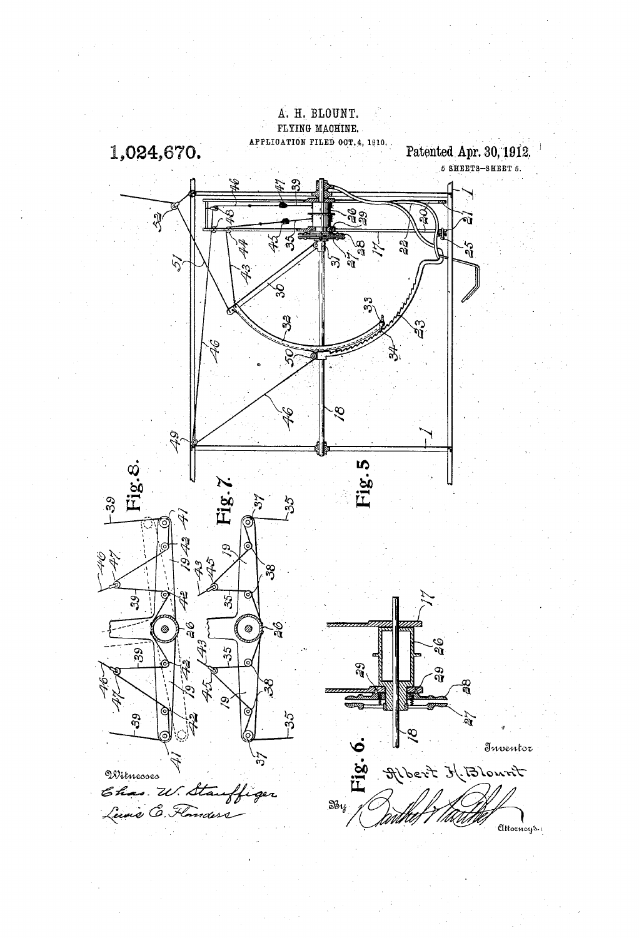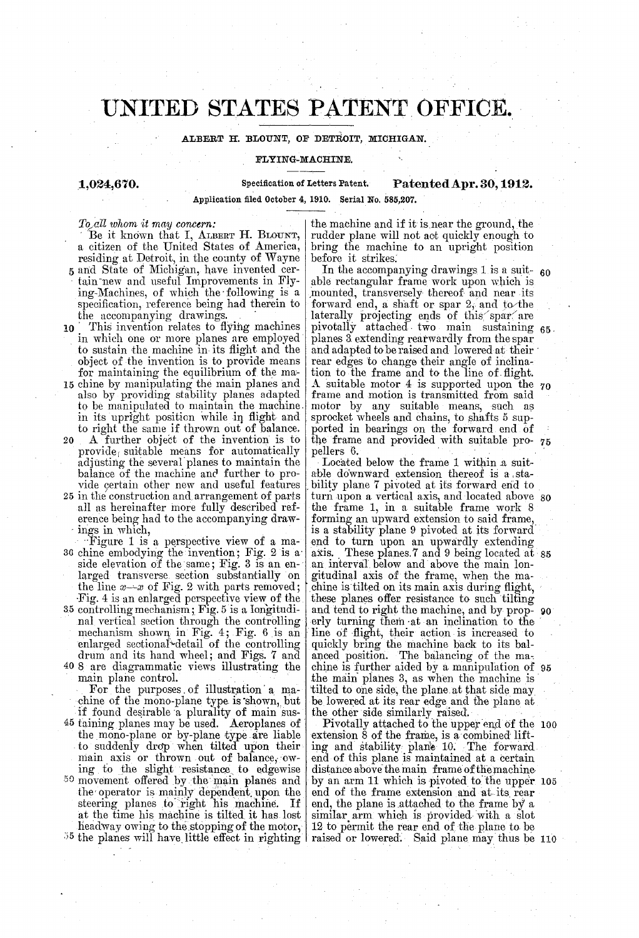# UNITED STATES PATENT OFFICE.

## ALBERT H. BLOUNT, OF DETROIT, MICHIGAN.

### FLYING-MACHINE,

1,024,670. Specification of Letters Patent, Patented Apr. 30, 1912.

Application filed October 4, 1910. Serial No, 585,207.

To all whom it may concern:

Be it known that I, ALBERT H. BLOUNT,<br>a citizen of the United States of America,

- 
- residing at Detroit, in the coanty of Wayne<br>5 and State of Michigan, have invented cer-<br>tain new and useful Improvements in Fly-<br>ing-Machines, of which the following is a<br>specification, reference being had therein to<br>the a
- also by providing stability planes adapted<br>to be manipulated to maintain the machine in its upright position while in flight and to right the same if thrown out of balance.<br>A further object of the invention is to
- provide<sub>l</sub> suitable means for automatically adjusting the several planes to maintain the balance of the machine and further to pro-20
- vide certain other new and useful features 25 in the construction and arrangement of parts all as hereinafter more fully described reference being had to the accompanying drawings in which,
- Figure 1 is a perspective view of a ma-30 chine embodying the invention; Fig. 2 is a side elevation of the same; Fig. 3 is an en-<br>larged transverse section substantially on
- Fig. 4 is an enlarged perspective view of the<br>35 controlling mechanism; Fig. 5 is a longitudi-<br>nal vertical section through the controlling<br>mechanism shown in Fig. 4; Fig. 6 is an<br>enlarged sectional detail of the controlli
- 

For the purposes of illustration a machine of the mono-plane type is shown, but<br>if found desirable a plurality of main sus-<br><sup>45</sup> taining planes may be used. Aeroplanes of the mono-plane or by-plane type are liable to suddenly drop main axis or thrown out of balance, ow-<br>ing to the slight resistance to edgewise<br>59 movement offered by the main planes and<br>the operator is mainly dependent upon the<br>steering planes to right his machine. I  $55$  the planes will have little effect in righting to suddenly drop when tilted upon their headway owing to the stopping of the motor,

the machine and if it is near the ground, the rudder plane will not act quickly enough to bring the machine to an upright position before it strikes.

In the accompanying drawings 1 is a suit-  $60$ able rectangular frame work upon which is mounted, transversely thereof and near its forward end, a shaft or spar  $2$ , and to the forward end, a shart or spar  $z_i$  and to the laterally projecting ends of this spar are pivotally attached, two main sustaining planes 3 extending rearwardly from the spar and adapted to be raised and lowered at their rear edges to change their angle of inclination to the frame and to the line of flight. A suitable motor 4 is supported upon the  $70$ frame and motion is transmitted from said motor by any suitable means, such as Sprocket wheels and chains, to shafts 5 sup ported in bearings on the forward end of the frame and provided with suitable pro- 75 pellers 6. 65. 70

Located below the frame 1 within a suit able downward extension thereof is a stability plane 7 pivoted at its forward end to turn upon a vertical axis, and located above 80 the frame 1, in a suitable frame work 8 forming an upward extension to said frame, end to turn upon an upwardly extending<br>axis. These planes.7 and 9 being located at an interval below and above the main lon gitudinal axis of the frame, when the ma these planes offer resistance to such tilting and tend to right the machine, and by prop These planes. 7 and 9 being located at 85 chine is tilted on its main axis during flight, 90 erly turning them at an inclination to the : line of flight, their action is increased to quickly bring the machine back to its bal anced position. The balancing of the mas chine is further aided by a manipulation of the main planes 3, as when the machine is tilted to one side, the plane at that side may be lowered at its rear edge and the plane at the other side similarly raised. Pivotally attached to the upper end of the extension 8 chine is further aided by a manipulation of 95

extension 8 of the frame, is a combined lift ling and stability plane 10. The forward. end of this plane is maintained at a certain<br>distance above the main frame of the machine<br>by an arm 11 which is pivoted to the upper<br>end of the frame extension and at its rear<br>end, the plane is attached to the frame by a<br>s raised or lowered. Said plane may thus be Pivotally attached to the upper end of the 100 by an arm 11 which is pivoted to the upper 105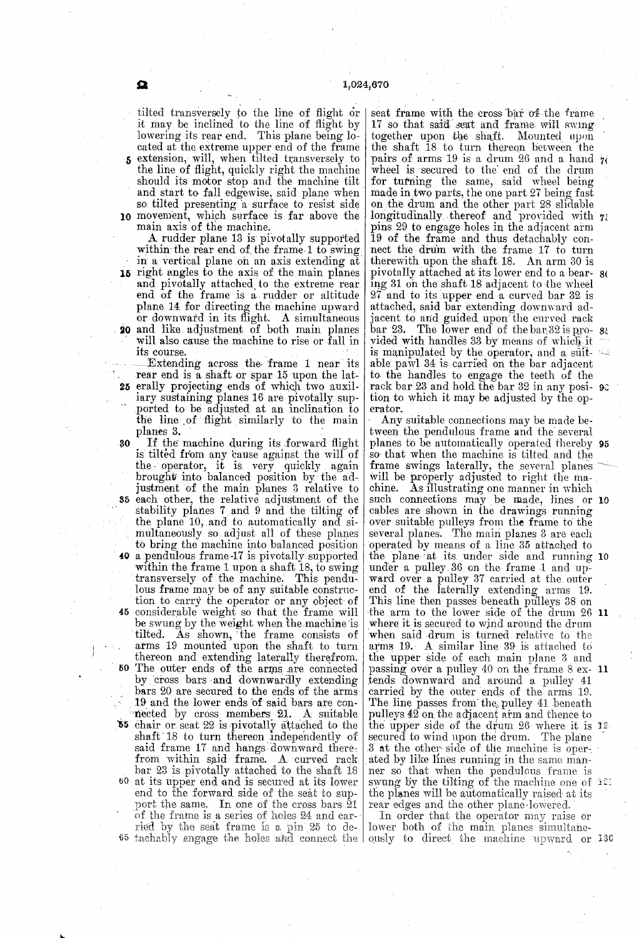tilted transversely to the line of flight or<br>it may be inclined to the line of flight by lowering its rear end. This plane being located at the extreme upper end of the frame **5** extension, will, when tilted transversely to the line of flight, quickly right the machine should its motor stop and the machine tilt should its motor stop and the machine tilt<br>and start to fall edgewise, said plane when 10 movement, which surface is far above the so tilted presenting a surface to resist side

main axis of the machine.<br>A rudder plane 13 is pivotally supported. within the rear end of the frame. 1 to swing<br>in a vertical plane on an axis extending at 15 right angles to the axis of the main planes 20 and like adjustment of both main planes<br>will also cause the machine to rise or fall in and pivotally attached to the extreme rear end of the frame is a rudder or altitude plane 14 for directing the machine upward or downward in its flight. A simultaneous and like adjustment of both main planes will also cause the machine to rise or fall in its course.

25 erally projecting ends of which two auxil-Extending across the frame 1 near its<br>rear end is a shaft or spar 15 upon the latiary sustaining planes 16 are pivotally supported to be adjusted at an inclination to the line of flight similarly to the main planes 3.

30 If the machine during its forward flight<br>is tilted from any cause against the will of justment of the main planes 3 relative to<br>35 each other, the relative adjustment of the the operator, it is very quickly again brought into balanced position by the adstability planes  $7$  and  $9$  and the tilting of the plane 10, and to automatically and simultaneously so adjust all of these planes to bring the machine into balanced position<br>40 a pendulous frame 17 is pivotally supported tion to carry the operator or any object of 45 considerable weight so that the frame will arms 19 mounted upon the shaft to turn<br>thereon and extending laterally therefrom.<br>50 The outer ends of the arms are connected within the frame 1 upon a shaft 18, to swing transversely of the machine. This pendu-<br>lous frame may be of any suitable construcbe swung by the weight when the machine is tilted. As shown, the frame consists of by cross bars and downwardly extending<br>bars 20 are secured to the ends of the arms<br>19 and the lower ends of said bars are con-55 60 at its upper end and is secured at its lower 65 tachably engage the holes aid connect the nected by cross members. 21. A suitable chair or seat 22 is pivotally attached to the shaft 18 to turn thereon independently of said frame 17 and hangs downward therebar 23 is pivotally attached to the shaft 18 end to the forward side of the seat to support the same. In one of the cross bars 21 of the frame is a series of holes  $24$  and car-<br>ried by the seat frame is a pin  $25$  to de-<br>lower both of the main planes simultaneried by the seat frame is a pin 25 to de from within said frame. A curved rack

seat frame with the cross bar of the frame<br>17 so that said seat and frame will swingtogether upon the shaft. Mounted upon<br>the shaft 18 to turn thereon between the<br>pairs of arms 19 is a drum 26 and a hand  $\gamma$ wheel is secured to the end of the drum<br>for turning the same, said wheel being<br>made in two parts, the one part 27 being fast<br>on the drum and the other part 28 slidable on the drum and the other part 28 slidable<br>longitudinally thereof and provided with  $\eta$ : pins 29 to engage holes in the adjacent arm 19 of the frame and thus detachably con nect the drum with the frame 17 to turn therewith upon the shaft 18. An arm 30 is<br>pivotally attached at its lower end to a bear-<br>ing 31 on the shaft 18 adjacent to the wheel 27 and to its upper end a curved bar 32 is attached, said bar extending downward adjacent to and guided upon the curved rack bar 23. The lower end of the bar 32 is pro- 8t vided with handles 33 by means of which it<br>is manipulated by the operator, and a suit-<br>able pawl 34 is carried on the bar adjacent to the handles to engage the teeth of the rack bar  $23$  and hold the bar  $32$  in any posi-  $90$ tion to which it may be adjusted by the operator. <u> ૪</u>ા

Any suitable connections may be made be-<br>tween the pendulous frame and the several planes to be automatically operated thereby 95 so that when the machine is tilted and the frame swings laterally, the several planes will be properly adjusted to right the machine. As illustrating one manner in which cables are shown in the drawings running over suitable pulleys from the frame to the Several planes. The main planes 3 are each operated by means of a line 35 attached to under a pulley. 36 on the frame 1 and up-<br>ward over a pulley 37 carried at the outer end of the laterally extending arms 19. This line then passes beneath pulleys 38 on the arm to the lower side of the drum 26 11 where it is secured to wind around the drum when said drum is turned relative to the arms 19. A similar line 39 is attached to the upper side of each main plane 3 and passing over a pulley 40 on the frame 8 ex tends downward and around a pulley 41 carried by the outer ends of the arms 19. The line passes from the pulley 41 beneath pulleys  $42$  on the adjacent aim and thence to the upper side of the drum. The plane 3 at the other side of the machine is oper- $\mathbf{0}$  $\mathbf{0}$ ated by like lines running in the same manner so that when the pendulous frame is the planes will be automatically raised at its rear edges and the other plane lowered. 2

In order that the operator may raise or ously to direct the machine upward or 130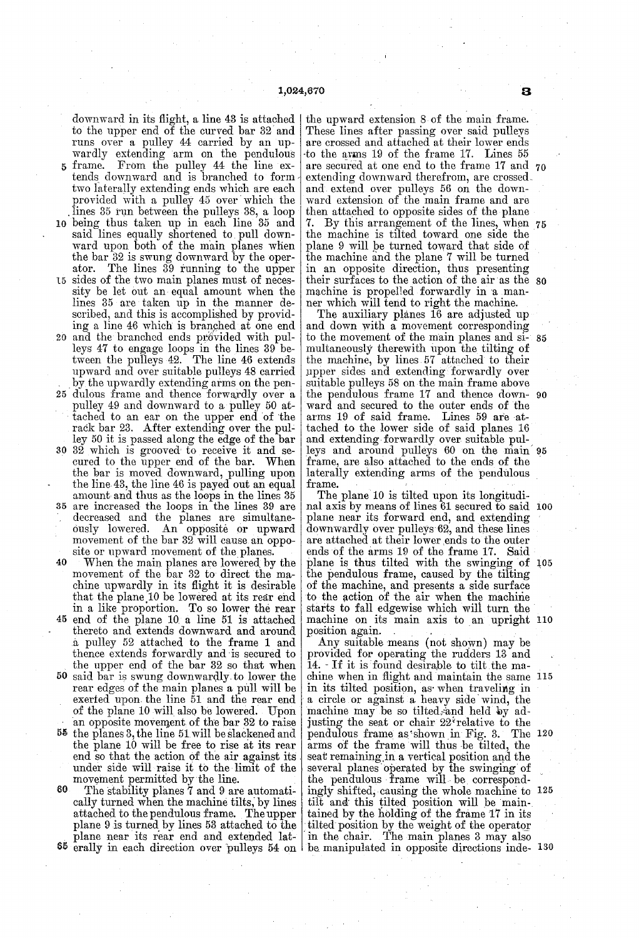downward in its flight, a line 43 is attached to the upper end of the curved bar 32 and wardly extending arm on the pendulous 5 frame. From the pulley 44 the line extends downward and is branched to form

- two laterally extending ends which are each provided with a pulley 45 over which the lines 35 run between the pulleys 38, a loop<br>being thus taken up in each line 35 and<br>said lines equally shortened to pull down-
- 5 ward upon both of the main planes when  $|$ the bar 32 is swung downward by the oper ator. The lines 39 running to the upper sides of the two main planes must of neces sity be let out an equal amount when the

 $\mathbf 0$ 

- 20 and the branched ends provided with pullines 35 are taken up in the manner described, and this is accomplished by provided ing a line 46 which is branched at one end and the branched ends provided with pulleys 47 to engage loops in the lines 39 be-
- tween the pulleys 42. The line 46 extends upward and over suitable pulleys 48 carried by the upwardly extending arms on the pen
- 25 dulous frame and thence forwardly over a pulley 49 and downward to a pulley 50 at tached to an ear on the upper end of the rack bar 23. After extending over the pulley 50 it is passed along the edge of the bar
- the bar is moved downward, pulling upon<br>the line 43, the line 46 is payed out an equal<br>amount and thus as the loops in the lines 35<br>35 are increased the loops in the lines 39 are 32 which is grooved to receive it and se cured to the upper end of the bar. When are increased the loops in the lines 39 are
- decreased and the planes are simultane-<br>ously lowered. An opposite or upward<br>movement of the bar 32 will cause an oppo-
- 40 site or upward movement of the planes.<br>When the main planes are lowered by the movement of the bar 32 to direct the machine upwardly in its flight it is desirable<br>that the plane 10 be lowered at its rear end that the plane. 10 be lowered at its rear end in a like proportion. To so lower the rear
- 45 end of the plane 10 a line 51 is attached thereto and extends downward and around a pulley 52 attached to the frame 1 and thence extends forwardly and is secured to<br>the upper end of the bar 32 so that when
- the upper end of the bar 32 so that when<br>50 said bar is swung downwardly to lower the rear edges of the main planes a pull will be exerted upon, the line 51 and the rear end of the plane 10 will also be lowered. Upon an opposite movement of the bar 32 to raise
- 55 the planes 3, the line 51 will be slackened and the planes 3, the line 51 will be slackened and the plane 10 will be free to rise at its rear end so that the action of the air against its under side will raise it to the limit of the movement permitted by the line.
- SO 65 erally in each direction over pulleys 54 on The stability planes  $\bar{7}$  and  $9$  are automatically turned when the machine tilts, by lines attached to the pendulous frame. The upper plane 9 is turned by lines 53 attached to the plane near its rear end and extended lat

-to the arms 19 of the frame 17. Lines 55 the upward extension 8 of the main frame. These lines after passing over said pulleys are crossed and attached at their lower ends are secured at one end to the frame 17 and 70 extending downward therefrom, are crossed. and extend over pulleys 56 on the down ward extension of the main frame and are<br>then attached to opposite sides of the plane then attached to opposite sides of the plane 7. By this arrangement of the lines, when 75 the machine is tilted toward one side the the machine and the plane 7 will be turned in an opposite direction, thus presenting machine is propelled forwardly in a manner which will tend to right the machine. their surfaces to the action of the air as the 80

The auxiliary planes 16 are adjusted up and down with a movement corresponding to the movement of the main planes and simultaneously therewith upon the tilting of the machine, by lines. 57 attached to their upper sides and extending forwardly over suitable pulleys 58 on the main frame above the pendulous frame 17 and thence down ward and secured to the outer ends of the arms 19 of said frame. Lines 59 are at tached to the lower side or said planes 16<br>and extending forwardly over suitable pul-<br>leys and around pulleys 60 on the main frame, are also attached to the ends of the 85 90 ยุอ

laterally extending arms of the pendulous<br>frame.<br>The plane 10 is tilted upon its longitudi-<br>nal axis by means of lines 61 secured to said 100<br>plane near its forward end, and extending downwardly over pulleys 62, and these lines are attached at their lower ends to the outer ends of the arms 19 of the frame 17. Said the pendulous frame, caused by the tilting<br>of the machine, and presents a side surface to the action of the air when the machine starts to fall edgewise which will turn the plane is thus tilted with the swinging of 105 machine on its main axis to an upright 110

a circle or against a heavy machine on its main axis to an upright position again. . . . Any suitable means (not shown) may be provided for operating the rudders 13 and 14. - If it is found desirable to tilt the ma chine when in flight and maintain the same in its tilted position, as when traveling in machine may be so tilted; and held by adjusting the seat or chair  $22^i$  relative to the pendulous frame as shown in Fig. 3. The 120 arms of the frame will thus be tilted, the seat remaining in a vertical position and the several planes operated by the swinging of the pendulous frame will be correspondthe pendulous frame will be correspondingly shifted, causing the whole machine to  $125$ tilt and this tilted position will be main-<br>tained by the holding of the frame 17 in its<br>tilted position by the weight of the operator<br>in the chair. The main planes 3 may also chine when in flight and maintain the same 115 be manipulated in opposite directions inde-130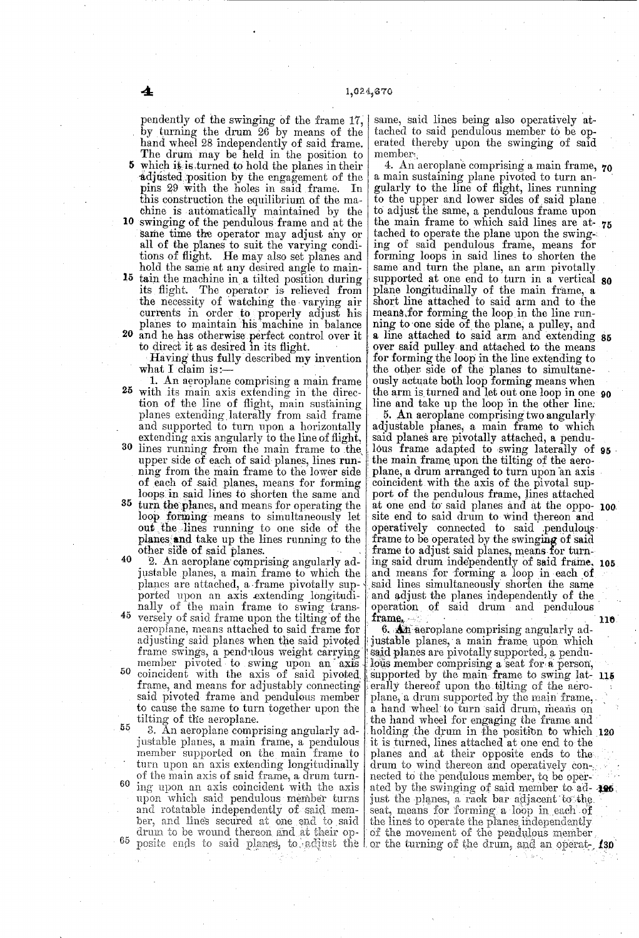by 5 which it is turned to hold the planes in their pendently or the swinging of the frame 17,<br>by turning the drum 26 by means of the<br>hand wheel 28 independently of said frame.<br>The drum may be held in the position to<br>which it is turned to hold the planes in their<br>adjusted p pins 29 with the holes in said frame. In this construction the equilibrium of the machine is automatically maintained by the

- 10 swinging of the pendulous frame and at the same time the operator may adjust any or all of the planes to suit the varying conditions of flight. He may also set planes and hold the same at any desired angle to main-
- $\mathbf{p}$ 20 and he has otherwise perfect control over it hold the same at any desired angle to maintain the machine in a tilted position during its flight. The operator is relieved from the necessity of watching the varying air currents in order to properly adjust his planes to maintain his machine in balance

to direct it as desired in its flight.<br>Having thus fully described my invention what I claim is: $-$ 

- 25 with its main axis extending in the direcand supported to turn upon a horizontally<br>extending axis angularly to the line of flight,<br>30 lines running from the main frame to the 1. An aeroplane comprising a main frame tion of the line of flight, main sustaining planes extending laterally from said frame upper side of each of said planes, lines running from the main frame to the lower side of each of said planes, means for forming loops in said lines to shorten the same and
- 35 turn the planes, and means for operating the loop forming means to simultaneously let out the lines running to one side of the planes and take up the lines running to the other side of said planes.
- 40 45 justable planes, a main frame to which the planes are attached, a frame pivotally sup ported upon an axis extending longitudi nally of the main frame to swing trans versely of Said frame upon the tilting of the aeroplane, means attached to said frame for<br>adjusting said planes when the said pivoted<br>frame swings, a pendulous weight carrying<br>member pivoted to swing upon an axis<br> $50$  coincident with the axis of said pivoted 55 2. An aeroplane comprising angularly adjustable planes, a main frame to which the frame, and means for adjustably connecting said pivoted frame and pendulous member<br>to cause the same to turn together upon the

6 65. to cause the same to turn to all the aeroplane.<br>
3. An aeroplane comprising angularly adjustable planes, a main frame, a pendulous<br>
member supported on the main frame to<br>
turn upon an axis extending longitudinally of the main axis of said frame, a drum turning upon an axis coincident with the axis upon which said pendulous member turns and rotatable independently of said men ber, and lines Secured at cine end to said drum to be wound thereon and at their opsame, said lines being also operatively attached to said pendulous member to be operated thereby upon the swinging of said member  $\text{member}_i$ 

4. An aeroplane comprising a main frame, 70<br>main sustaining plane niveted to turn an a main sustaining plane pivoted to turn an-<br>gularly to the line of flight, lines running gularly to the line of flight, lines running<br>to the upper and lower sides of said plane<br>to adjust the same, a pendulous frame upon<br>the main frame to which said lines are at 75 tached to operate the plane upon the swing-<br>ing of said pendulous frame, means for<br>forming loops in said lines to shorten the<br>same and turn the plane, an arm pivotally Same and turn the plane, an arm pivotally, Supported at one end to turn in a vertical plane longitudinally of the main frame, a short line attached to said arm and to the means, for forming the loop in the line running to one side of the plane, a pulley, and over said pulley and attached to the means for forming the loop in the line extending to the other side of the planes to simultane ously actuate both loop forming means when 80 a line attached to said arm and extending 85 the arm is turned and let out one loop in one 90

the arm is turned and let out one loop in one 90<br>line and take up the loop in the other line.<br>5. An aeroplane comprising two angularly<br>adjustable planes, a main frame to which<br>said planes are pivotally attached, a pendu-<br>l the main frame upon the tilting of the aeroplane, a drum arranged to turn upon an axis coincident with the axis of the pivotal sup-<br>port of the pendulous frame, lines attached site end to said drum to wind thereon and operatively connected to said pendulous frame to be operated by the swinging of said frame to adjust said planes, means for turning said drum independently of said frame, and means for forming a loop in each of said lines simultaneously shorten the same 100. 05 and adjust the planes independently of the operation of said drum and pendulous 116

posite entry to said planes, to aquist the for the turning of the drum, and an operate, 130 of said draw and person of said draw and personal person of said drum and personal personal personal personal personal personal personal personal personal personal personal personal personal personal personal personal pers said planes are pivotally supported, a pendu-<br>lous member comprising a seat for a person, erally thereof upon the tilting of the aero supported by the main frame to swing lat- 115 plane, a drum supported by the main frame,<br>a hand wheel to turn said drum, means on a hand wheel to turn said drum, means on<br>the hand wheel for engaging the frame and<br>holding the drum in the position to which 120 planes and at their opposite ends to the drum to wind thereon and operatively connected to the pendulous member, to be operated by the swinging of said member to ad- $\mathbf{R}\mathbf{B}$ <br>just the planes, a rack bar adjacent to the seat, means for forming a loop in each of the lines to operate the planes independently of the movement of the pendulous member